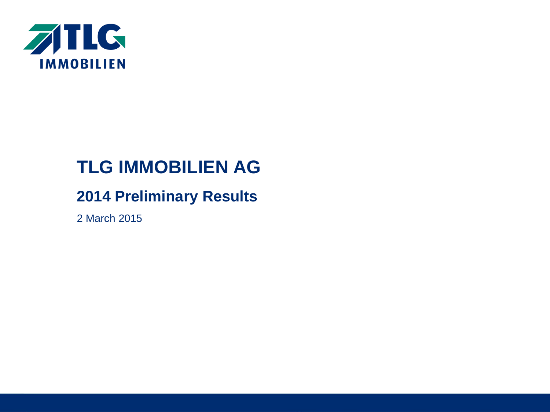

# **TLG IMMOBILIEN AG**

# **2014 Preliminary Results**

2 March 2015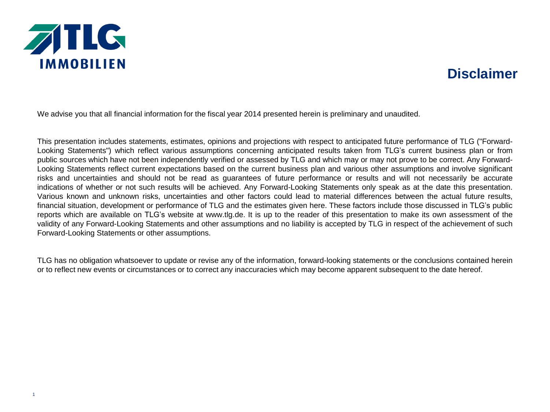

## **Disclaimer**

We advise you that all financial information for the fiscal year 2014 presented herein is preliminary and unaudited.

This presentation includes statements, estimates, opinions and projections with respect to anticipated future performance of TLG ("Forward-Looking Statements") which reflect various assumptions concerning anticipated results taken from TLG's current business plan or from public sources which have not been independently verified or assessed by TLG and which may or may not prove to be correct. Any Forward-Looking Statements reflect current expectations based on the current business plan and various other assumptions and involve significant risks and uncertainties and should not be read as guarantees of future performance or results and will not necessarily be accurate indications of whether or not such results will be achieved. Any Forward-Looking Statements only speak as at the date this presentation. Various known and unknown risks, uncertainties and other factors could lead to material differences between the actual future results, financial situation, development or performance of TLG and the estimates given here. These factors include those discussed in TLG's public reports which are available on TLG's website at www.tlg.de. It is up to the reader of this presentation to make its own assessment of the validity of any Forward-Looking Statements and other assumptions and no liability is accepted by TLG in respect of the achievement of such Forward-Looking Statements or other assumptions.

TLG has no obligation whatsoever to update or revise any of the information, forward-looking statements or the conclusions contained herein or to reflect new events or circumstances or to correct any inaccuracies which may become apparent subsequent to the date hereof.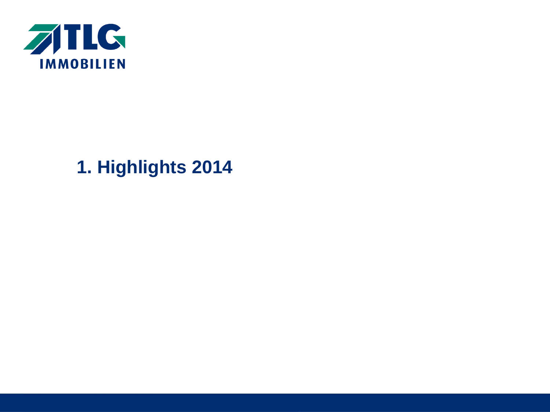

# **1. Highlights 2014**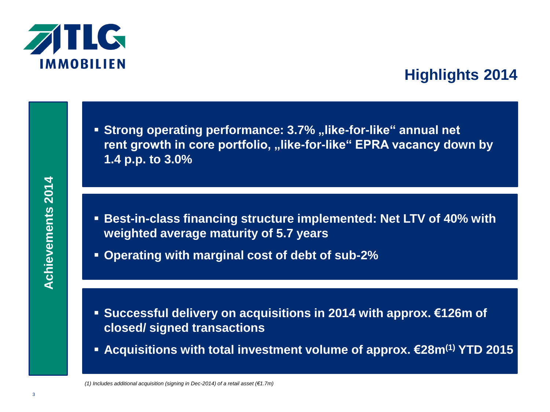

# **Highlights 2014**

**Strong operating performance: 3.7% "like-for-like" annual net** rent growth in core portfolio, "like-for-like" EPRA vacancy down by **1.4 p.p. to 3.0%**

- **Best-in-class financing structure implemented: Net LTV of 40% with weighted average maturity of 5.7 years**
- **Operating with marginal cost of debt of sub-2%**

- **Successful delivery on acquisitions in 2014 with approx. €126m of closed/ signed transactions**
- **Acquisitions with total investment volume of approx. €28m(1) YTD 2015**

*(1) Includes additional acquisition (signing in Dec-2014) of a retail asset (€1.7m)*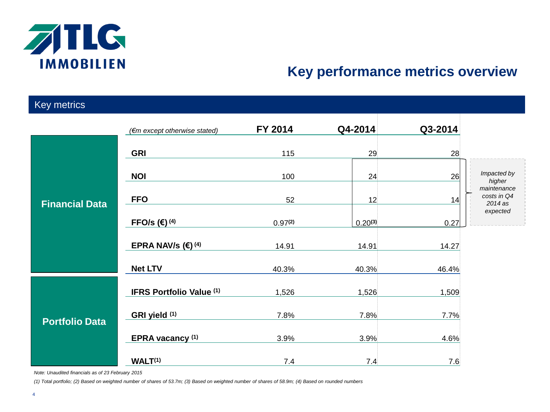

## **Key performance metrics overview**

| Key metrics           |                                 |                     |              |         |                                                   |
|-----------------------|---------------------------------|---------------------|--------------|---------|---------------------------------------------------|
|                       | (€m except otherwise stated)    | FY 2014             | Q4-2014      | Q3-2014 |                                                   |
| <b>Financial Data</b> | <b>GRI</b>                      | 115                 | 29           | 28      |                                                   |
|                       | <b>NOI</b>                      | 100                 | 24           | 26      | Impacted by<br>higher                             |
|                       | <b>FFO</b>                      | 52                  | 12           | 14      | maintenance<br>costs in Q4<br>2014 as<br>expected |
|                       | FFO/s $(4)$                     | 0.97 <sup>(2)</sup> | $0.20^{(3)}$ | 0.27    |                                                   |
|                       | EPRA NAV/s $(4)$                | 14.91               | 14.91        | 14.27   |                                                   |
|                       | <b>Net LTV</b>                  | 40.3%               | 40.3%        | 46.4%   |                                                   |
| <b>Portfolio Data</b> | <b>IFRS Portfolio Value (1)</b> | 1,526               | 1,526        | 1,509   |                                                   |
|                       | GRI yield (1)                   | 7.8%                | 7.8%         | 7.7%    |                                                   |
|                       | EPRA vacancy (1)                | 3.9%                | 3.9%         | 4.6%    |                                                   |
|                       | WALT <sup>(1)</sup>             | 7.4                 | 7.4          | 7.6     |                                                   |

*Note: Unaudited financials as of 23 February 2015*

*(1) Total portfolio; (2) Based on weighted number of shares of 53.7m; (3) Based on weighted number of shares of 58.9m; (4) Based on rounded numbers*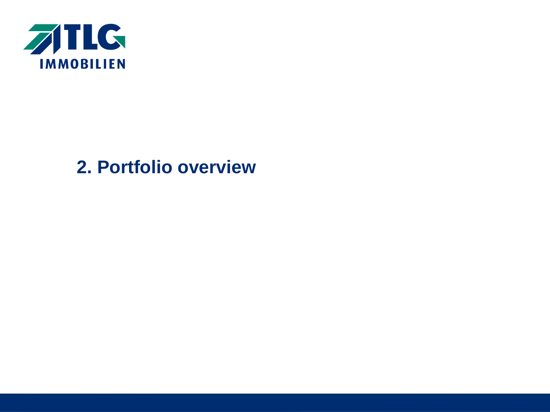

# **2. Portfolio overview**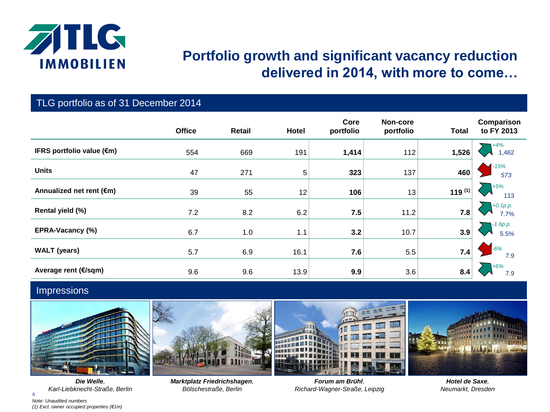

## **Portfolio growth and significant vacancy reduction delivered in 2014, with more to come…**

#### TLG portfolio as of 31 December 2014

|                                     | <b>Office</b> | <b>Retail</b> | <b>Hotel</b> | Core<br>portfolio | Non-core<br>portfolio | <b>Total</b> | Comparison<br>to FY 2013 |
|-------------------------------------|---------------|---------------|--------------|-------------------|-----------------------|--------------|--------------------------|
| IFRS portfolio value $(\epsilon m)$ | 554           | 669           | 191          | 1,414             | 112                   | 1,526        | $+4%$<br>1,462           |
| <b>Units</b>                        | 47            | 271           | 5            | 323               | 137                   | 460          | $-15%$<br>573            |
| Annualized net rent (€m)            | 39            | 55            | 12           | 106               | 13                    | 119 $(1)$    | $+5%$<br>113             |
| Rental yield (%)                    | 7.2           | 8.2           | 6.2          | 7.5               | 11.2                  | 7.8          | $+0.1 p.p.$<br>7.7%      |
| EPRA-Vacancy (%)                    | 6.7           | 1.0           | 1.1          | 3.2               | 10.7                  | 3.9          | -1.6p.p.<br>5.5%         |
| <b>WALT</b> (years)                 | 5.7           | 6.9           | 16.1         | 7.6               | 5.5                   | 7.4          | $-6%$<br>7.9             |
| Average rent (€/sqm)                | 9.6           | 9.6           | 13.9         | 9.9               | 3.6                   | 8.4          | $+6%$<br>7.9             |

#### Impressions



6 *Note: Unaudited numbers (1) Excl. owner occupied properties (€1m) Die Welle, Karl-Liebknecht-Straße, Berlin*



*Marktplatz Friedrichshagen, Bölschestraße, Berlin*

*Forum am Brühl, Richard-Wagner-Straße, Leipzig*

*Hotel de Saxe, Neumarkt, Dresden*

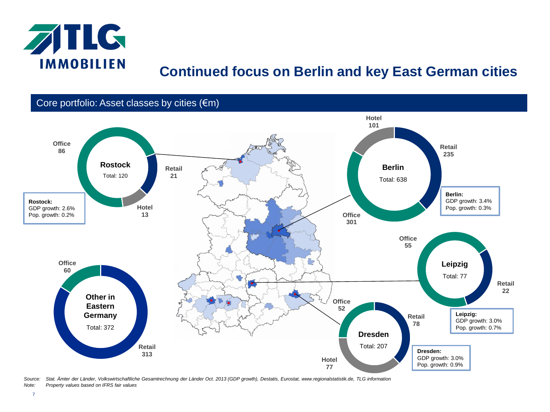

## **Continued focus on Berlin and key East German cities**

Core portfolio: Asset classes by cities (€m)



*Source: Stat. Ämter der Länder, Volkswirtschaftliche Gesamtrechnung der Länder Oct. 2013 (GDP growth), Destatis, Eurostat, www.regionalstatistik.de, TLG information Note: Property values based on IFRS fair values*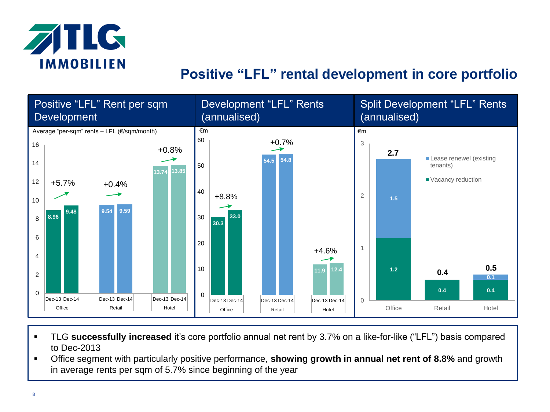

## **Positive "LFL" rental development in core portfolio**



- TLG **successfully increased** it's core portfolio annual net rent by 3.7% on a like-for-like ("LFL") basis compared to Dec-2013
- Office segment with particularly positive performance, **showing growth in annual net rent of 8.8%** and growth in average rents per sqm of 5.7% since beginning of the year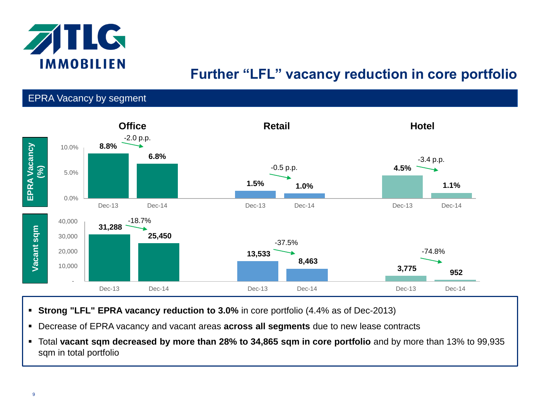

# **Further "LFL" vacancy reduction in core portfolio**

#### EPRA Vacancy by segment



- **Strong "LFL" EPRA vacancy reduction to 3.0%** in core portfolio (4.4% as of Dec-2013)
- Decrease of EPRA vacancy and vacant areas **across all segments** due to new lease contracts
- Total **vacant sqm decreased by more than 28% to 34,865 sqm in core portfolio** and by more than 13% to 99,935 sqm in total portfolio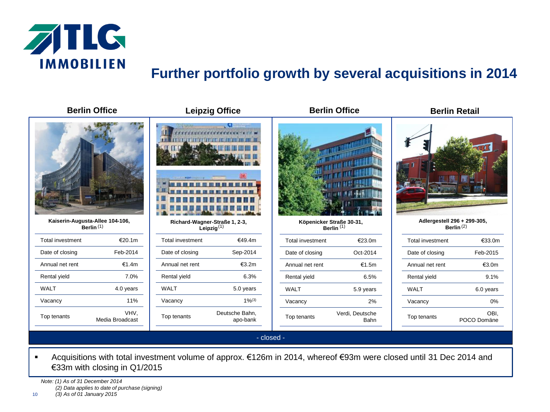

# **Further portfolio growth by several acquisitions in 2014**

|                                                 | <b>Berlin Office</b>    |                                                | <b>Leipzig Office</b>      | <b>Berlin Office</b>                              |                         | <b>Berlin Retail</b>                        |                     |
|-------------------------------------------------|-------------------------|------------------------------------------------|----------------------------|---------------------------------------------------|-------------------------|---------------------------------------------|---------------------|
|                                                 |                         | Ш                                              | DB.                        |                                                   |                         |                                             |                     |
| Kaiserin-Augusta-Allee 104-106,<br>Berlin $(1)$ |                         | Richard-Wagner-Straße 1, 2-3,<br>Leipzig $(1)$ |                            | Köpenicker Straße 30-31,<br>Berlin <sup>(1)</sup> |                         | Adlergestell 296 + 299-305,<br>Berlin $(2)$ |                     |
| <b>Total investment</b>                         | €20.1m                  | Total investment                               | €49.4m                     | Total investment                                  | €23.0m                  | Total investment                            | €33.0m              |
| Date of closing                                 | Feb-2014                | Date of closing                                | Sep-2014                   | Date of closing                                   | Oct-2014                | Date of closing                             | Feb-2015            |
| Annual net rent                                 | €1.4m                   | Annual net rent                                | €3.2m                      | Annual net rent                                   | €1.5m                   | Annual net rent                             | €3.0m               |
| Rental yield                                    | 7.0%                    | Rental yield                                   | 6.3%                       | Rental yield                                      | 6.5%                    | Rental yield                                | 9.1%                |
| <b>WALT</b>                                     | 4.0 years               | <b>WALT</b>                                    | 5.0 years                  | <b>WALT</b>                                       | 5.9 years               | <b>WALT</b>                                 | 6.0 years           |
| Vacancy                                         | 11%                     | Vacancy                                        | $1\%^{(3)}$                | Vacancy                                           | 2%                      | Vacancy                                     | 0%                  |
| Top tenants                                     | VHV,<br>Media Broadcast | Top tenants                                    | Deutsche Bahn,<br>apo-bank | Top tenants                                       | Verdi, Deutsche<br>Bahn | Top tenants                                 | OBI,<br>POCO Domäne |
|                                                 |                         |                                                |                            | - closed -                                        |                         |                                             |                     |

 Acquisitions with total investment volume of approx. €126m in 2014, whereof €93m were closed until 31 Dec 2014 and €33m with closing in Q1/2015

*Note: (1) As of 31 December 2014 (2) Data applies to date of purchase (signing)*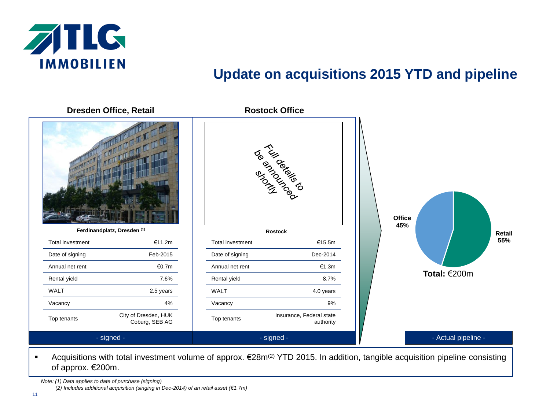

## **Update on acquisitions 2015 YTD and pipeline**

**Dresden Office, Retail Rostock Office POSTER** BROWN **Office 45% Ferdinandplatz, Dresden (1) Rostock Retail 55%** Total investment **€11.2m** Total investment **€15.5m** Date of signing Feb-2015 Date of signing Dec-2014 Annual net rent  $\epsilon$ 0.7m Annual net rent €1.3m **Total:** €200mRental yield 7,6% Rental yield 8.7% WALT 2.5 years WALT 4.0 years Vacancy 4% Vacancy 9% Top tenants City of Dresden, HUK Top tenants **Insurance**, Federal state Coburg, SEB AG authority - signed - - Actual pipeline - - signed -

- Acquisitions with total investment volume of approx. €28m<sup>(2)</sup> YTD 2015. In addition, tangible acquisition pipeline consisting of approx. €200m.
	- *Note: (1) Data applies to date of purchase (signing)*

*(2) Includes additional acquisition (singing in Dec-2014) of an retail asset (€1.7m)*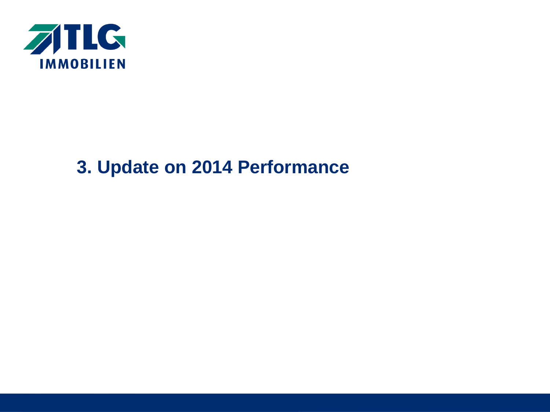

# **3. Update on 2014 Performance**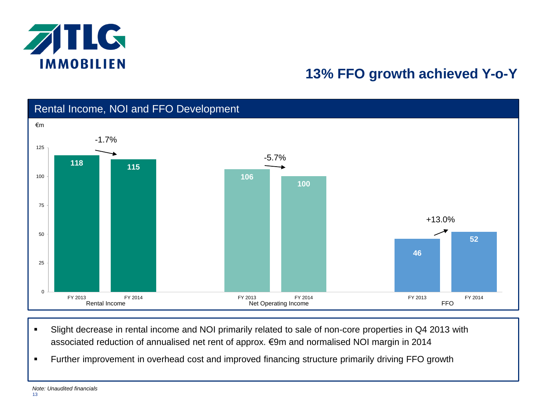

# **13% FFO growth achieved Y-o-Y**



- Slight decrease in rental income and NOI primarily related to sale of non-core properties in Q4 2013 with associated reduction of annualised net rent of approx. €9m and normalised NOI margin in 2014
- Further improvement in overhead cost and improved financing structure primarily driving FFO growth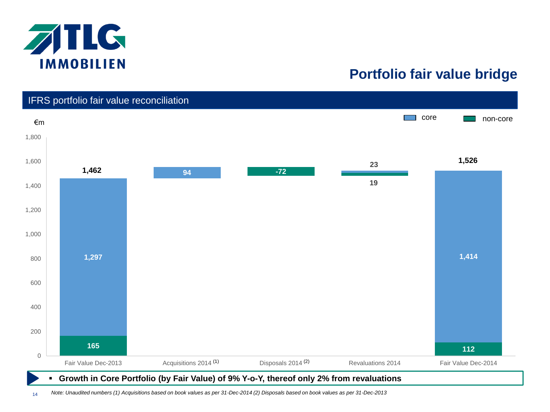

## **Portfolio fair value bridge**

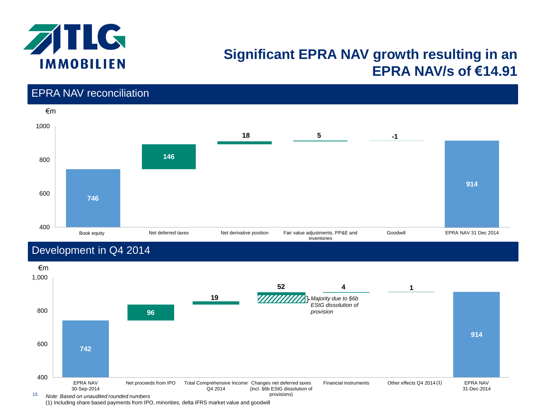

## **Significant EPRA NAV growth resulting in an EPRA NAV/s of €14.91**

## EPRA NAV reconciliation €m **746 146 18 5 -1 914** 400 600 800 1000 , Book equity Net deferred taxes Net derivative position Fair value adjustments, PP&E and Goodwill EPRA NAV 31 Dec 2014 inventories

## Development in Q4 2014



(1) Including share based payments from IPO, minorities, delta IFRS market value and goodwill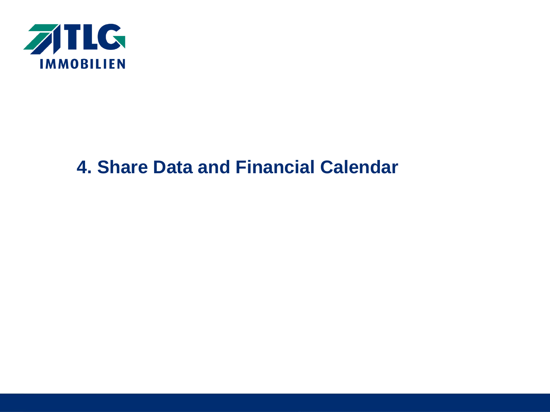

# **4. Share Data and Financial Calendar**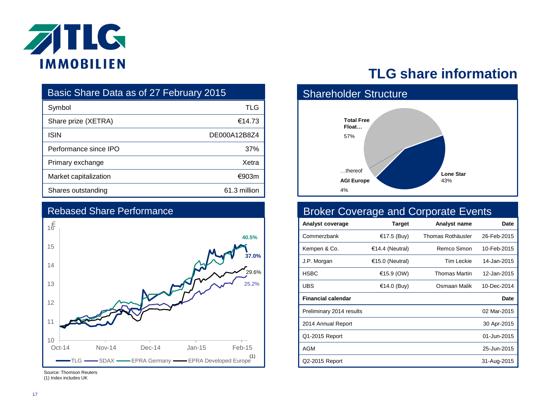

| Basic Share Data as of 27 February 2015 |              |  |  |  |
|-----------------------------------------|--------------|--|--|--|
| Symbol                                  | TLG          |  |  |  |
| Share prize (XETRA)                     | €14.73       |  |  |  |
| <b>ISIN</b>                             | DE000A12B8Z4 |  |  |  |
| Performance since IPO                   | 37%          |  |  |  |
| Primary exchange                        | Xetra        |  |  |  |
| Market capitalization                   | €903m        |  |  |  |
| Shares outstanding                      | 61.3 million |  |  |  |



#### Rebased Share Performance

#### Source: Thomson Reuters (1) Index includes UK

## **TLG share information**



### Broker Coverage and Corporate Events

| Analyst coverage          | Target          | Analyst name      | Date        |
|---------------------------|-----------------|-------------------|-------------|
| Commerzbank               | €17.5 (Buy)     | Thomas Rothäusler | 26-Feb-2015 |
| Kempen & Co.              | €14.4 (Neutral) | Remco Simon       | 10-Feb-2015 |
| J.P. Morgan               | €15.0 (Neutral) | Tim Leckie        | 14-Jan-2015 |
| <b>HSBC</b>               | €15.9 (OW)      | Thomas Martin     | 12-Jan-2015 |
| <b>UBS</b>                | €14.0 (Buy)     | Osmaan Malik      | 10-Dec-2014 |
| <b>Financial calendar</b> |                 |                   | Date        |
| Preliminary 2014 results  |                 |                   | 02 Mar-2015 |
| 2014 Annual Report        |                 |                   | 30 Apr-2015 |
| Q1-2015 Report            |                 |                   | 01-Jun-2015 |
| AGM                       |                 |                   | 25-Jun-2015 |
|                           |                 |                   |             |